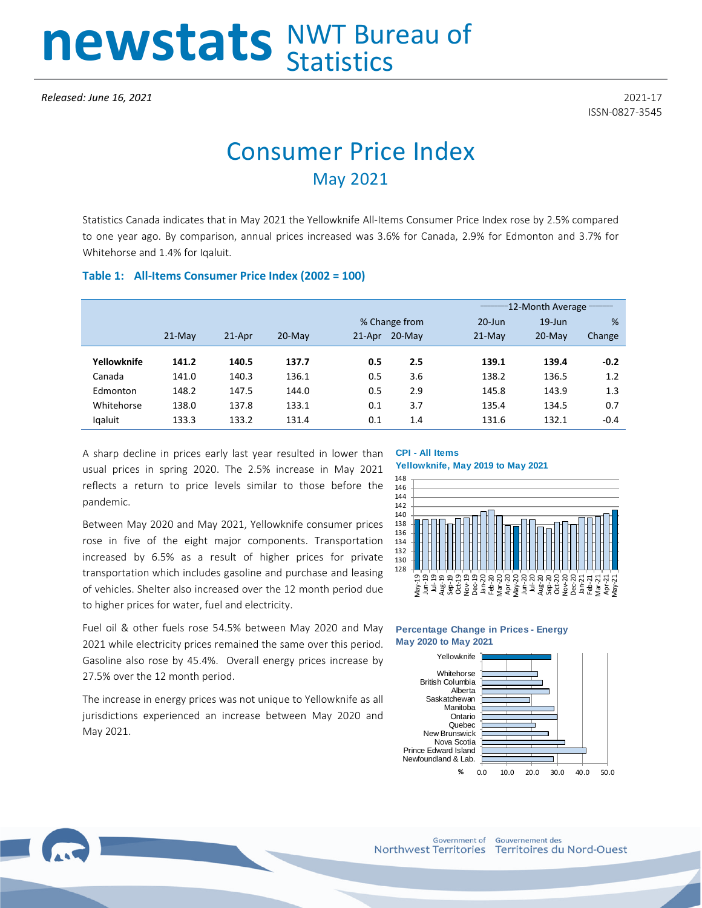# newstats NWT Bureau of

ISSN-0827-3545

# Consumer Price Index May 2021

Statistics Canada indicates that in May 2021 the Yellowknife All-Items Consumer Price Index rose by 2.5% compared to one year ago. By comparison, annual prices increased was 3.6% for Canada, 2.9% for Edmonton and 3.7% for Whitehorse and 1.4% for Iqaluit.

### **Table 1: All-Items Consumer Price Index (2002 = 100)**

|             |          |           |           |               |           |            | -12-Month Average |        |  |  |
|-------------|----------|-----------|-----------|---------------|-----------|------------|-------------------|--------|--|--|
|             |          |           |           | % Change from |           | $20 - Jun$ | $19$ -Jun         | %      |  |  |
|             | $21-Mav$ | $21$ -Apr | $20$ -Mav | $21$ -Apr     | $20$ -Mav | $21-Mav$   | $20$ -Mav         | Change |  |  |
|             |          |           |           |               |           |            |                   |        |  |  |
| Yellowknife | 141.2    | 140.5     | 137.7     | 0.5           | 2.5       | 139.1      | 139.4             | $-0.2$ |  |  |
| Canada      | 141.0    | 140.3     | 136.1     | 0.5           | 3.6       | 138.2      | 136.5             | 1.2    |  |  |
| Edmonton    | 148.2    | 147.5     | 144.0     | 0.5           | 2.9       | 145.8      | 143.9             | 1.3    |  |  |
| Whitehorse  | 138.0    | 137.8     | 133.1     | 0.1           | 3.7       | 135.4      | 134.5             | 0.7    |  |  |
| Igaluit     | 133.3    | 133.2     | 131.4     | 0.1           | 1.4       | 131.6      | 132.1             | $-0.4$ |  |  |

A sharp decline in prices early last year resulted in lower than usual prices in spring 2020. The 2.5% increase in May 2021 reflects a return to price levels similar to those before the pandemic.

Between May 2020 and May 2021, Yellowknife consumer prices rose in five of the eight major components. Transportation increased by 6.5% as a result of higher prices for private transportation which includes gasoline and purchase and leasing of vehicles. Shelter also increased over the 12 month period due to higher prices for water, fuel and electricity.

## **CPI - All Items**

#### **Yellowknife, May 2019 to May 2021**



Fuel oil & other fuels rose 54.5% between May 2020 and May **May 2020 to May 2021** Yellowknife

2021 while electricity prices remained the same over this period. Gasoline also rose by 45.4%. Overall energy prices increase by 27.5% over the 12 month period.

The increase in energy prices was not unique to Yellowknife as all jurisdictions experienced an increase between May 2020 and May 2021.

# **Percentage Change in Prices - Energy**